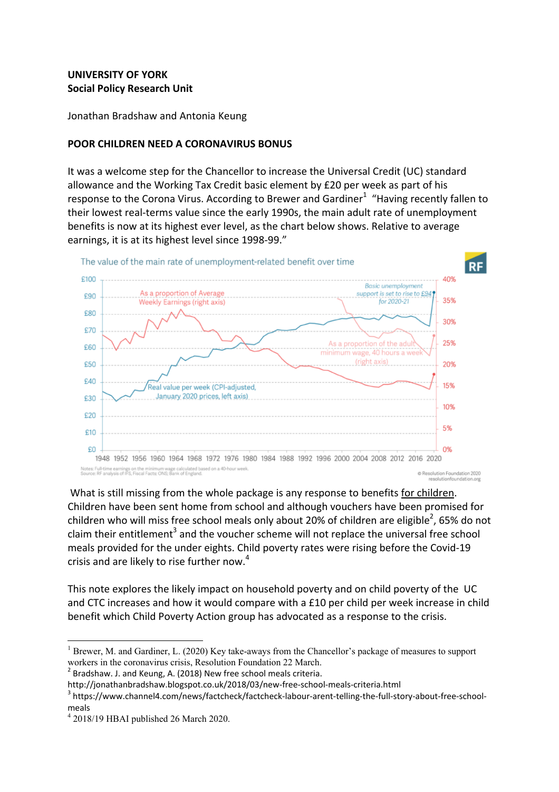# **UNIVERSITY OF YORK Social Policy Research Unit**

Jonathan Bradshaw and Antonia Keung

## **POOR CHILDREN NEED A CORONAVIRUS BONUS**

It was a welcome step for the Chancellor to increase the Universal Credit (UC) standard allowance and the Working Tax Credit basic element by £20 per week as part of his response to the Corona Virus. According to Brewer and Gardiner<sup>1</sup> "Having recently fallen to their lowest real-terms value since the early 1990s, the main adult rate of unemployment benefits is now at its highest ever level, as the chart below shows. Relative to average earnings, it is at its highest level since 1998-99."



What is still missing from the whole package is any response to benefits for children. Children have been sent home from school and although vouchers have been promised for children who will miss free school meals only about 20% of children are eligible<sup>2</sup>, 65% do not claim their entitlement<sup>3</sup> and the voucher scheme will not replace the universal free school meals provided for the under eights. Child poverty rates were rising before the Covid-19 crisis and are likely to rise further now.<sup>4</sup>

This note explores the likely impact on household poverty and on child poverty of the UC and CTC increases and how it would compare with a  $£10$  per child per week increase in child benefit which Child Poverty Action group has advocated as a response to the crisis.

<u> 1989 - Johann Stein, marwolaethau a bh</u>

<sup>&</sup>lt;sup>1</sup> Brewer, M. and Gardiner, L. (2020) Key take-aways from the Chancellor's package of measures to support workers in the coronavirus crisis, Resolution Foundation 22 March.<br><sup>2</sup> Bradshaw. J. and Keung, A. (2018) New free school meals criteria.

http://jonathanbradshaw.blogspot.co.uk/2018/03/new-free-school-meals-criteria.html<br><sup>3</sup> https://www.channel4.com/news/factcheck/factcheck-labour-arent-telling-the-full-story-about-free-schoolmeals

<sup>4</sup> 2018/19 HBAI published 26 March 2020.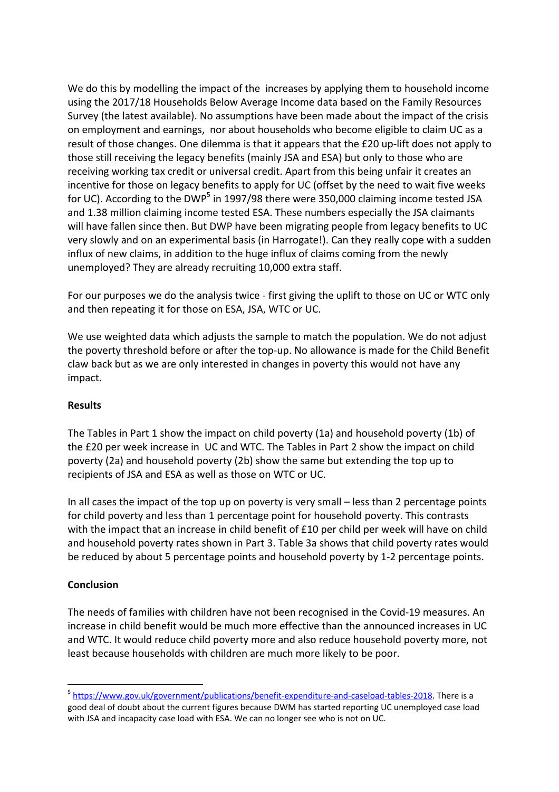We do this by modelling the impact of the increases by applying them to household income using the 2017/18 Households Below Average Income data based on the Family Resources Survey (the latest available). No assumptions have been made about the impact of the crisis on employment and earnings, nor about households who become eligible to claim UC as a result of those changes. One dilemma is that it appears that the £20 up-lift does not apply to those still receiving the legacy benefits (mainly JSA and ESA) but only to those who are receiving working tax credit or universal credit. Apart from this being unfair it creates an incentive for those on legacy benefits to apply for UC (offset by the need to wait five weeks for UC). According to the DWP<sup>5</sup> in 1997/98 there were 350,000 claiming income tested JSA and 1.38 million claiming income tested ESA. These numbers especially the JSA claimants will have fallen since then. But DWP have been migrating people from legacy benefits to UC very slowly and on an experimental basis (in Harrogate!). Can they really cope with a sudden influx of new claims, in addition to the huge influx of claims coming from the newly unemployed? They are already recruiting 10,000 extra staff.

For our purposes we do the analysis twice - first giving the uplift to those on UC or WTC only and then repeating it for those on ESA, JSA, WTC or UC.

We use weighted data which adjusts the sample to match the population. We do not adjust the poverty threshold before or after the top-up. No allowance is made for the Child Benefit claw back but as we are only interested in changes in poverty this would not have any impact.

## **Results**

The Tables in Part 1 show the impact on child poverty  $(1a)$  and household poverty  $(1b)$  of the £20 per week increase in UC and WTC. The Tables in Part 2 show the impact on child poverty (2a) and household poverty (2b) show the same but extending the top up to recipients of JSA and ESA as well as those on WTC or UC.

In all cases the impact of the top up on poverty is very small – less than 2 percentage points for child poverty and less than 1 percentage point for household poverty. This contrasts with the impact that an increase in child benefit of £10 per child per week will have on child and household poverty rates shown in Part 3. Table 3a shows that child poverty rates would be reduced by about 5 percentage points and household poverty by 1-2 percentage points.

## **Conclusion**

<u> 1989 - Johann Stein, marwolaethau a bh</u>

The needs of families with children have not been recognised in the Covid-19 measures. An increase in child benefit would be much more effective than the announced increases in UC and WTC. It would reduce child poverty more and also reduce household poverty more, not least because households with children are much more likely to be poor.

<sup>&</sup>lt;sup>5</sup> https://www.gov.uk/government/publications/benefit-expenditure-and-caseload-tables-2018. There is a good deal of doubt about the current figures because DWM has started reporting UC unemployed case load with JSA and incapacity case load with ESA. We can no longer see who is not on UC.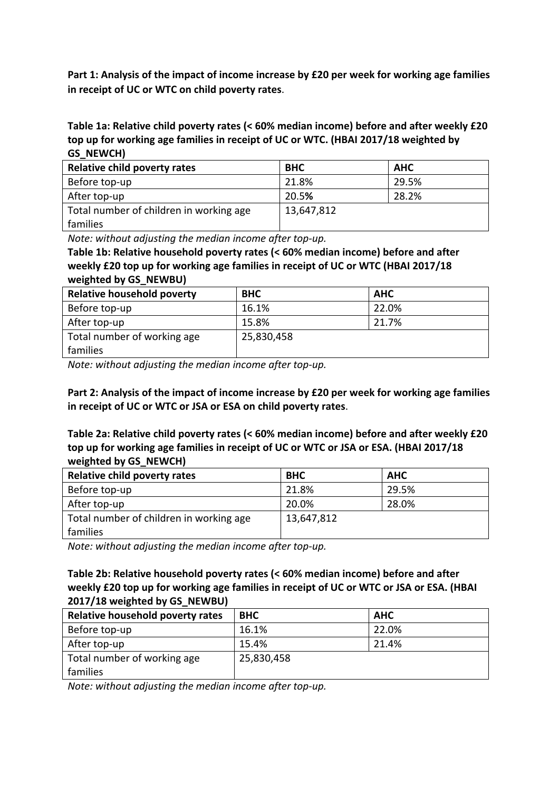Part 1: Analysis of the impact of income increase by £20 per week for working age families in receipt of UC or WTC on child poverty rates.

**Table 1a: Relative child poverty rates (< 60% median income) before and after weekly £20** top up for working age families in receipt of UC or WTC. (HBAI 2017/18 weighted by **GS\_NEWCH)**

| Relative child poverty rates            | <b>BHC</b> | <b>AHC</b> |
|-----------------------------------------|------------|------------|
| Before top-up                           | 21.8%      | 29.5%      |
| After top-up                            | 20.5%      | 28.2%      |
| Total number of children in working age | 13,647,812 |            |
| families                                |            |            |

*Note:* without adjusting the median income after top-up.

Table 1b: Relative household poverty rates (< 60% median income) before and after weekly £20 top up for working age families in receipt of UC or WTC (HBAI 2017/18 **weighted by GS\_NEWBU)**

| <b>Relative household poverty</b> | <b>BHC</b> | <b>AHC</b> |
|-----------------------------------|------------|------------|
| Before top-up                     | 16.1%      | 22.0%      |
| After top-up                      | 15.8%      | 21.7%      |
| Total number of working age       | 25,830,458 |            |
| families                          |            |            |

*Note:* without adjusting the median income after top-up.

Part 2: Analysis of the impact of income increase by £20 per week for working age families in receipt of UC or WTC or JSA or ESA on child poverty rates.

Table 2a: Relative child poverty rates (< 60% median income) before and after weekly £20 top up for working age families in receipt of UC or WTC or JSA or ESA. (HBAI 2017/18 weighted by GS NEWCH)

| Relative child poverty rates            | <b>BHC</b> | <b>AHC</b> |
|-----------------------------------------|------------|------------|
| Before top-up                           | 21.8%      | 29.5%      |
| After top-up                            | 20.0%      | 28.0%      |
| Total number of children in working age | 13,647,812 |            |
| families                                |            |            |

*Note:* without adjusting the median income after top-up.

Table 2b: Relative household poverty rates (< 60% median income) before and after weekly £20 top up for working age families in receipt of UC or WTC or JSA or ESA. (HBAI **2017/18 weighted by GS\_NEWBU)**

| Relative household poverty rates | <b>BHC</b> | <b>AHC</b> |
|----------------------------------|------------|------------|
| Before top-up                    | 16.1%      | 22.0%      |
| After top-up                     | 15.4%      | 21.4%      |
| Total number of working age      | 25,830,458 |            |
| families                         |            |            |

*Note:* without adjusting the median income after top-up.